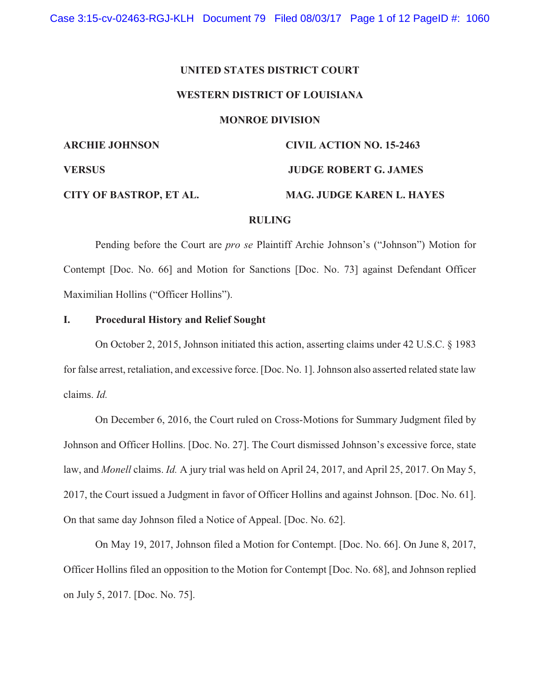# **UNITED STATES DISTRICT COURT**

## **WESTERN DISTRICT OF LOUISIANA**

#### **MONROE DIVISION**

**ARCHIE JOHNSON CIVIL ACTION NO. 15-2463 VERSUS JUDGE ROBERT G. JAMES CITY OF BASTROP, ET AL. MAG. JUDGE KAREN L. HAYES**

# **RULING**

Pending before the Court are *pro se* Plaintiff Archie Johnson's ("Johnson") Motion for Contempt [Doc. No. 66] and Motion for Sanctions [Doc. No. 73] against Defendant Officer Maximilian Hollins ("Officer Hollins").

# **I. Procedural History and Relief Sought**

On October 2, 2015, Johnson initiated this action, asserting claims under 42 U.S.C. § 1983 for false arrest, retaliation, and excessive force. [Doc. No. 1]. Johnson also asserted related state law claims. *Id.*

On December 6, 2016, the Court ruled on Cross-Motions for Summary Judgment filed by Johnson and Officer Hollins. [Doc. No. 27]. The Court dismissed Johnson's excessive force, state law, and *Monell* claims. *Id.* A jury trial was held on April 24, 2017, and April 25, 2017. On May 5, 2017, the Court issued a Judgment in favor of Officer Hollins and against Johnson. [Doc. No. 61]. On that same day Johnson filed a Notice of Appeal. [Doc. No. 62].

On May 19, 2017, Johnson filed a Motion for Contempt. [Doc. No. 66]. On June 8, 2017, Officer Hollins filed an opposition to the Motion for Contempt [Doc. No. 68], and Johnson replied on July 5, 2017. [Doc. No. 75].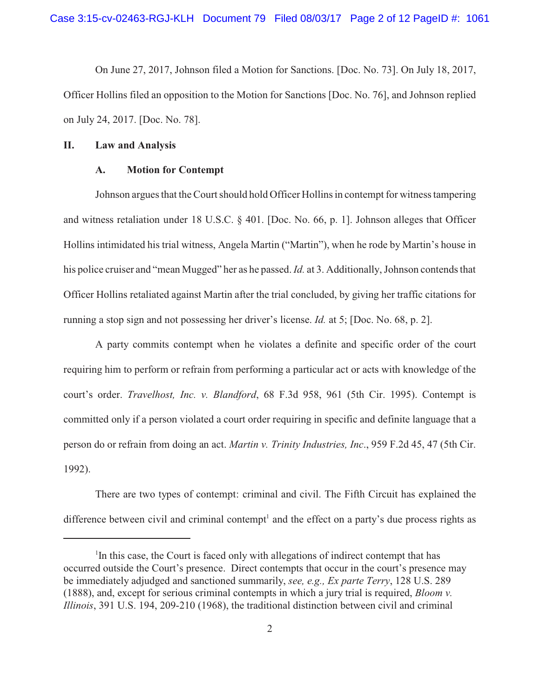On June 27, 2017, Johnson filed a Motion for Sanctions. [Doc. No. 73]. On July 18, 2017, Officer Hollins filed an opposition to the Motion for Sanctions [Doc. No. 76], and Johnson replied on July 24, 2017. [Doc. No. 78].

## **II. Law and Analysis**

#### **A. Motion for Contempt**

Johnson argues that the Court should hold Officer Hollins in contempt for witness tampering and witness retaliation under 18 U.S.C. § 401. [Doc. No. 66, p. 1]. Johnson alleges that Officer Hollins intimidated his trial witness, Angela Martin ("Martin"), when he rode by Martin's house in his police cruiser and "mean Mugged" her as he passed. *Id.* at 3. Additionally, Johnson contends that Officer Hollins retaliated against Martin after the trial concluded, by giving her traffic citations for running a stop sign and not possessing her driver's license. *Id.* at 5; [Doc. No. 68, p. 2].

A party commits contempt when he violates a definite and specific order of the court requiring him to perform or refrain from performing a particular act or acts with knowledge of the court's order. *Travelhost, Inc. v. Blandford*, 68 F.3d 958, 961 (5th Cir. 1995). Contempt is committed only if a person violated a court order requiring in specific and definite language that a person do or refrain from doing an act. *Martin v. Trinity Industries, Inc*., 959 F.2d 45, 47 (5th Cir. 1992).

There are two types of contempt: criminal and civil. The Fifth Circuit has explained the difference between civil and criminal contempt<sup>1</sup> and the effect on a party's due process rights as

 $\rm{I}^{I}$ In this case, the Court is faced only with allegations of indirect contempt that has occurred outside the Court's presence. Direct contempts that occur in the court's presence may be immediately adjudged and sanctioned summarily, *see, e.g., Ex parte Terry*, 128 U.S. 289 (1888), and, except for serious criminal contempts in which a jury trial is required, *Bloom v. Illinois*, 391 U.S. 194, 209-210 (1968), the traditional distinction between civil and criminal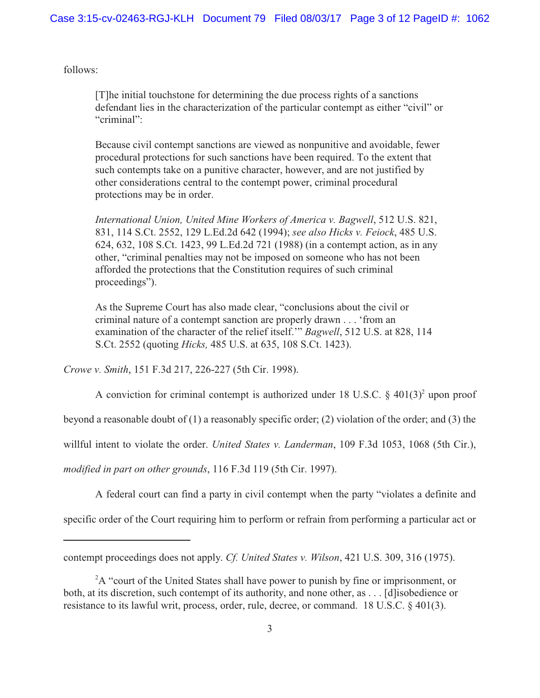follows:

[T]he initial touchstone for determining the due process rights of a sanctions defendant lies in the characterization of the particular contempt as either "civil" or "criminal":

Because civil contempt sanctions are viewed as nonpunitive and avoidable, fewer procedural protections for such sanctions have been required. To the extent that such contempts take on a punitive character, however, and are not justified by other considerations central to the contempt power, criminal procedural protections may be in order.

*International Union, United Mine Workers of America v. Bagwell*, 512 U.S. 821, 831, 114 S.Ct. 2552, 129 L.Ed.2d 642 (1994); *see also Hicks v. Feiock*, 485 U.S. 624, 632, 108 S.Ct. 1423, 99 L.Ed.2d 721 (1988) (in a contempt action, as in any other, "criminal penalties may not be imposed on someone who has not been afforded the protections that the Constitution requires of such criminal proceedings").

As the Supreme Court has also made clear, "conclusions about the civil or criminal nature of a contempt sanction are properly drawn . . . 'from an examination of the character of the relief itself.'" *Bagwell*, 512 U.S. at 828, 114 S.Ct. 2552 (quoting *Hicks,* 485 U.S. at 635, 108 S.Ct. 1423).

*Crowe v. Smith*, 151 F.3d 217, 226-227 (5th Cir. 1998).

A conviction for criminal contempt is authorized under 18 U.S.C.  $\S$  401(3)<sup>2</sup> upon proof

beyond a reasonable doubt of (1) a reasonably specific order; (2) violation of the order; and (3) the

willful intent to violate the order. *United States v. Landerman*, 109 F.3d 1053, 1068 (5th Cir.),

*modified in part on other grounds*, 116 F.3d 119 (5th Cir. 1997).

A federal court can find a party in civil contempt when the party "violates a definite and specific order of the Court requiring him to perform or refrain from performing a particular act or

contempt proceedings does not apply. *Cf. United States v. Wilson*, 421 U.S. 309, 316 (1975).

 $A<sup>2</sup>A$  "court of the United States shall have power to punish by fine or imprisonment, or both, at its discretion, such contempt of its authority, and none other, as . . . [d]isobedience or resistance to its lawful writ, process, order, rule, decree, or command. 18 U.S.C. § 401(3).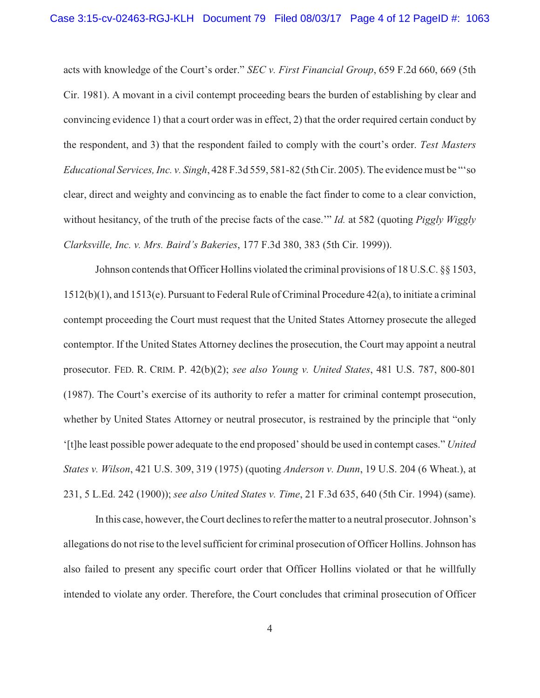acts with knowledge of the Court's order." *SEC v. First Financial Group*, 659 F.2d 660, 669 (5th Cir. 1981). A movant in a civil contempt proceeding bears the burden of establishing by clear and convincing evidence 1) that a court order was in effect, 2) that the order required certain conduct by the respondent, and 3) that the respondent failed to comply with the court's order. *Test Masters Educational Services, Inc. v. Singh*, 428 F.3d 559, 581-82 (5th Cir. 2005). The evidence must be "'so clear, direct and weighty and convincing as to enable the fact finder to come to a clear conviction, without hesitancy, of the truth of the precise facts of the case.'" *Id.* at 582 (quoting *Piggly Wiggly Clarksville, Inc. v. Mrs. Baird's Bakeries*, 177 F.3d 380, 383 (5th Cir. 1999)).

Johnson contends that Officer Hollins violated the criminal provisions of 18 U.S.C. §§ 1503, 1512(b)(1), and 1513(e). Pursuant to Federal Rule of Criminal Procedure 42(a), to initiate a criminal contempt proceeding the Court must request that the United States Attorney prosecute the alleged contemptor. If the United States Attorney declines the prosecution, the Court may appoint a neutral prosecutor. FED. R. CRIM. P. 42(b)(2); *see also Young v. United States*, 481 U.S. 787, 800-801 (1987). The Court's exercise of its authority to refer a matter for criminal contempt prosecution, whether by United States Attorney or neutral prosecutor, is restrained by the principle that "only '[t]he least possible power adequate to the end proposed'should be used in contempt cases." *United States v. Wilson*, 421 U.S. 309, 319 (1975) (quoting *Anderson v. Dunn*, 19 U.S. 204 (6 Wheat.), at 231, 5 L.Ed. 242 (1900)); *see also United States v. Time*, 21 F.3d 635, 640 (5th Cir. 1994) (same).

In this case, however, the Court declines to refer the matter to a neutral prosecutor. Johnson's allegations do not rise to the level sufficient for criminal prosecution of Officer Hollins. Johnson has also failed to present any specific court order that Officer Hollins violated or that he willfully intended to violate any order. Therefore, the Court concludes that criminal prosecution of Officer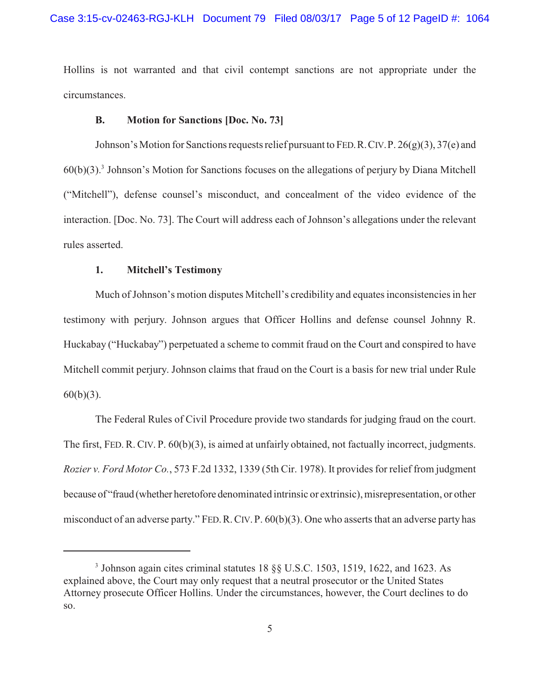Hollins is not warranted and that civil contempt sanctions are not appropriate under the circumstances.

## **B. Motion for Sanctions [Doc. No. 73]**

Johnson's Motion for Sanctions requests relief pursuant to FED. R. CIV. P.  $26(g)(3)$ ,  $37(e)$  and  $60(b)(3)$ .<sup>3</sup> Johnson's Motion for Sanctions focuses on the allegations of perjury by Diana Mitchell ("Mitchell"), defense counsel's misconduct, and concealment of the video evidence of the interaction. [Doc. No. 73]. The Court will address each of Johnson's allegations under the relevant rules asserted.

## **1. Mitchell's Testimony**

Much of Johnson's motion disputes Mitchell's credibility and equates inconsistencies in her testimony with perjury. Johnson argues that Officer Hollins and defense counsel Johnny R. Huckabay ("Huckabay") perpetuated a scheme to commit fraud on the Court and conspired to have Mitchell commit perjury. Johnson claims that fraud on the Court is a basis for new trial under Rule  $60(b)(3)$ .

The Federal Rules of Civil Procedure provide two standards for judging fraud on the court. The first, FED. R. CIV. P. 60(b)(3), is aimed at unfairly obtained, not factually incorrect, judgments. *Rozier v. Ford Motor Co.*, 573 F.2d 1332, 1339 (5th Cir. 1978). It provides for relief from judgment because of "fraud (whether heretofore denominated intrinsic or extrinsic), misrepresentation, or other misconduct of an adverse party." FED.R.CIV. P. 60(b)(3). One who asserts that an adverse party has

 $3$  Johnson again cites criminal statutes 18  $\S$ § U.S.C. 1503, 1519, 1622, and 1623. As explained above, the Court may only request that a neutral prosecutor or the United States Attorney prosecute Officer Hollins. Under the circumstances, however, the Court declines to do so.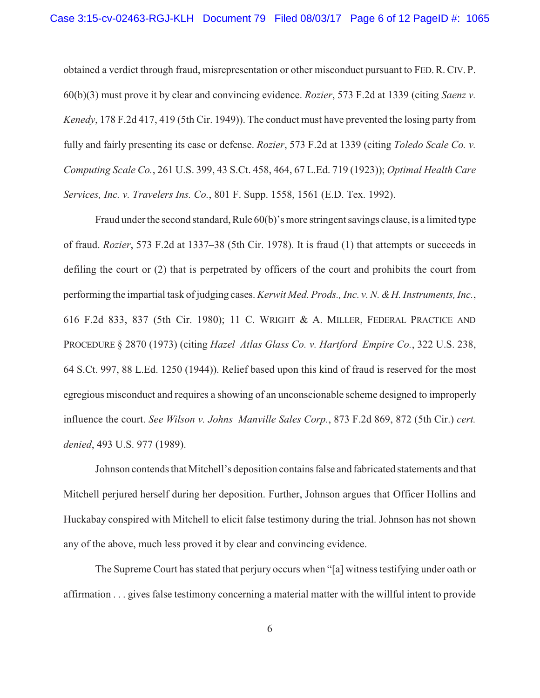obtained a verdict through fraud, misrepresentation or other misconduct pursuant to FED.R.CIV. P. 60(b)(3) must prove it by clear and convincing evidence. *Rozier*, 573 F.2d at 1339 (citing *Saenz v. Kenedy*, 178 F.2d 417, 419 (5th Cir. 1949)). The conduct must have prevented the losing party from fully and fairly presenting its case or defense. *Rozier*, 573 F.2d at 1339 (citing *Toledo Scale Co. v. Computing Scale Co.*, 261 U.S. 399, 43 S.Ct. 458, 464, 67 L.Ed. 719 (1923)); *Optimal Health Care Services, Inc. v. Travelers Ins. Co.*, 801 F. Supp. 1558, 1561 (E.D. Tex. 1992).

Fraud under the second standard, Rule 60(b)'s more stringent savings clause, is a limited type of fraud. *Rozier*, 573 F.2d at 1337–38 (5th Cir. 1978). It is fraud (1) that attempts or succeeds in defiling the court or (2) that is perpetrated by officers of the court and prohibits the court from performing the impartial task of judging cases. *Kerwit Med. Prods., Inc. v. N. &H. Instruments, Inc.*, 616 F.2d 833, 837 (5th Cir. 1980); 11 C. WRIGHT & A. MILLER, FEDERAL PRACTICE AND PROCEDURE § 2870 (1973) (citing *Hazel–Atlas Glass Co. v. Hartford–Empire Co.*, 322 U.S. 238, 64 S.Ct. 997, 88 L.Ed. 1250 (1944)). Relief based upon this kind of fraud is reserved for the most egregious misconduct and requires a showing of an unconscionable scheme designed to improperly influence the court. *See Wilson v. Johns–Manville Sales Corp.*, 873 F.2d 869, 872 (5th Cir.) *cert. denied*, 493 U.S. 977 (1989).

Johnson contends that Mitchell's deposition containsfalse and fabricated statements and that Mitchell perjured herself during her deposition. Further, Johnson argues that Officer Hollins and Huckabay conspired with Mitchell to elicit false testimony during the trial. Johnson has not shown any of the above, much less proved it by clear and convincing evidence.

The Supreme Court has stated that perjury occurs when "[a] witness testifying under oath or affirmation . . . gives false testimony concerning a material matter with the willful intent to provide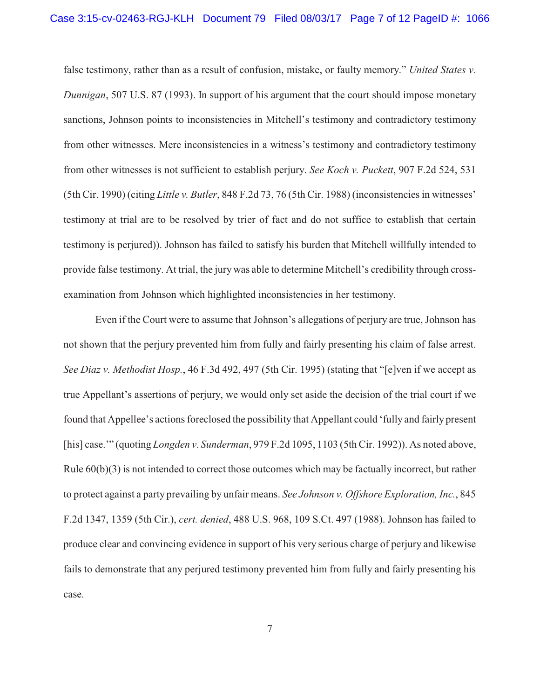false testimony, rather than as a result of confusion, mistake, or faulty memory." *United States v. Dunnigan*, 507 U.S. 87 (1993). In support of his argument that the court should impose monetary sanctions, Johnson points to inconsistencies in Mitchell's testimony and contradictory testimony from other witnesses. Mere inconsistencies in a witness's testimony and contradictory testimony from other witnesses is not sufficient to establish perjury. *See Koch v. Puckett*, 907 F.2d 524, 531 (5th Cir. 1990) (citing *Little v. Butler*, 848 F.2d 73, 76 (5th Cir. 1988) (inconsistencies in witnesses' testimony at trial are to be resolved by trier of fact and do not suffice to establish that certain testimony is perjured)). Johnson has failed to satisfy his burden that Mitchell willfully intended to provide false testimony. At trial, the jury was able to determine Mitchell's credibility through crossexamination from Johnson which highlighted inconsistencies in her testimony.

Even if the Court were to assume that Johnson's allegations of perjury are true, Johnson has not shown that the perjury prevented him from fully and fairly presenting his claim of false arrest. *See Diaz v. Methodist Hosp.*, 46 F.3d 492, 497 (5th Cir. 1995) (stating that "[e]ven if we accept as true Appellant's assertions of perjury, we would only set aside the decision of the trial court if we found that Appellee's actions foreclosed the possibility that Appellant could 'fully and fairly present [his] case.'" (quoting *Longden v. Sunderman*, 979 F.2d 1095, 1103 (5th Cir. 1992)). As noted above, Rule 60(b)(3) is not intended to correct those outcomes which may be factually incorrect, but rather to protect against a party prevailing by unfair means. *See Johnson v. Offshore Exploration, Inc.*, 845 F.2d 1347, 1359 (5th Cir.), *cert. denied*, 488 U.S. 968, 109 S.Ct. 497 (1988). Johnson has failed to produce clear and convincing evidence in support of his very serious charge of perjury and likewise fails to demonstrate that any perjured testimony prevented him from fully and fairly presenting his case.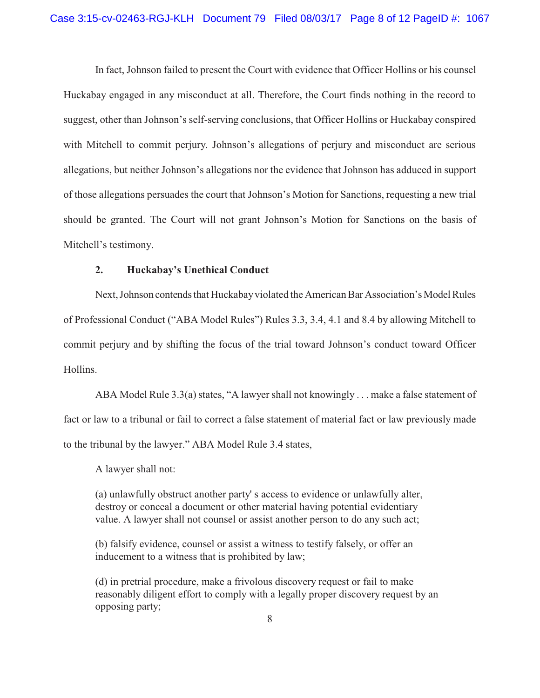In fact, Johnson failed to present the Court with evidence that Officer Hollins or his counsel Huckabay engaged in any misconduct at all. Therefore, the Court finds nothing in the record to suggest, other than Johnson's self-serving conclusions, that Officer Hollins or Huckabay conspired with Mitchell to commit perjury. Johnson's allegations of perjury and misconduct are serious allegations, but neither Johnson's allegations nor the evidence that Johnson has adduced in support of those allegations persuades the court that Johnson's Motion for Sanctions, requesting a new trial should be granted. The Court will not grant Johnson's Motion for Sanctions on the basis of Mitchell's testimony.

## **2. Huckabay's Unethical Conduct**

Next, Johnson contends that Huckabay violated the American Bar Association's Model Rules of Professional Conduct ("ABA Model Rules") Rules 3.3, 3.4, 4.1 and 8.4 by allowing Mitchell to commit perjury and by shifting the focus of the trial toward Johnson's conduct toward Officer Hollins.

ABA Model Rule 3.3(a) states, "A lawyer shall not knowingly . . . make a false statement of fact or law to a tribunal or fail to correct a false statement of material fact or law previously made to the tribunal by the lawyer." ABA Model Rule 3.4 states,

A lawyer shall not:

(a) unlawfully obstruct another party' s access to evidence or unlawfully alter, destroy or conceal a document or other material having potential evidentiary value. A lawyer shall not counsel or assist another person to do any such act;

(b) falsify evidence, counsel or assist a witness to testify falsely, or offer an inducement to a witness that is prohibited by law;

(d) in pretrial procedure, make a frivolous discovery request or fail to make reasonably diligent effort to comply with a legally proper discovery request by an opposing party;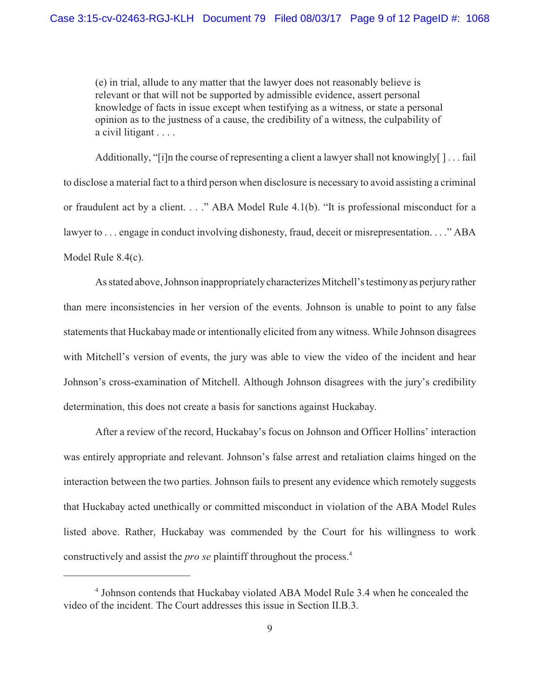(e) in trial, allude to any matter that the lawyer does not reasonably believe is relevant or that will not be supported by admissible evidence, assert personal knowledge of facts in issue except when testifying as a witness, or state a personal opinion as to the justness of a cause, the credibility of a witness, the culpability of a civil litigant . . . .

Additionally, "[i]n the course of representing a client a lawyer shall not knowingly[ ] . . . fail to disclose a material fact to a third person when disclosure is necessary to avoid assisting a criminal or fraudulent act by a client. . . ." ABA Model Rule 4.1(b). "It is professional misconduct for a lawyer to ... engage in conduct involving dishonesty, fraud, deceit or misrepresentation...." ABA Model Rule 8.4(c).

As stated above, Johnson inappropriatelycharacterizesMitchell's testimonyas perjuryrather than mere inconsistencies in her version of the events. Johnson is unable to point to any false statements that Huckabay made or intentionally elicited from any witness. While Johnson disagrees with Mitchell's version of events, the jury was able to view the video of the incident and hear Johnson's cross-examination of Mitchell. Although Johnson disagrees with the jury's credibility determination, this does not create a basis for sanctions against Huckabay.

After a review of the record, Huckabay's focus on Johnson and Officer Hollins' interaction was entirely appropriate and relevant. Johnson's false arrest and retaliation claims hinged on the interaction between the two parties. Johnson fails to present any evidence which remotely suggests that Huckabay acted unethically or committed misconduct in violation of the ABA Model Rules listed above. Rather, Huckabay was commended by the Court for his willingness to work constructively and assist the *pro se* plaintiff throughout the process. 4

<sup>&</sup>lt;sup>4</sup> Johnson contends that Huckabay violated ABA Model Rule 3.4 when he concealed the video of the incident. The Court addresses this issue in Section II.B.3.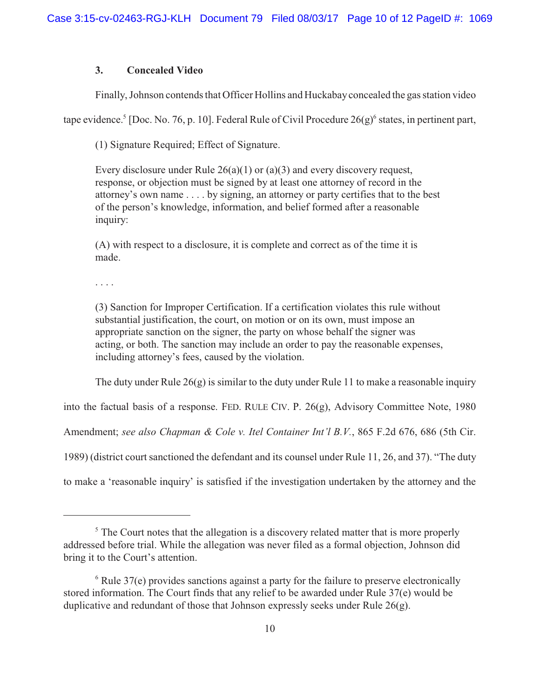## **3. Concealed Video**

Finally, Johnson contends that Officer Hollins and Huckabayconcealed the gas station video

tape evidence.<sup>5</sup> [Doc. No. 76, p. 10]. Federal Rule of Civil Procedure  $26(g)^6$  states, in pertinent part,

(1) Signature Required; Effect of Signature.

Every disclosure under Rule  $26(a)(1)$  or  $(a)(3)$  and every discovery request, response, or objection must be signed by at least one attorney of record in the attorney's own name . . . . by signing, an attorney or party certifies that to the best of the person's knowledge, information, and belief formed after a reasonable inquiry:

(A) with respect to a disclosure, it is complete and correct as of the time it is made.

. . . .

(3) Sanction for Improper Certification. If a certification violates this rule without substantial justification, the court, on motion or on its own, must impose an appropriate sanction on the signer, the party on whose behalf the signer was acting, or both. The sanction may include an order to pay the reasonable expenses, including attorney's fees, caused by the violation.

The duty under Rule  $26(g)$  is similar to the duty under Rule 11 to make a reasonable inquiry

into the factual basis of a response. FED. RULE CIV. P. 26(g), Advisory Committee Note, 1980

Amendment; *see also Chapman & Cole v. Itel Container Int'l B.V.*, 865 F.2d 676, 686 (5th Cir.

1989) (district court sanctioned the defendant and its counsel under Rule 11, 26, and 37). "The duty

to make a 'reasonable inquiry' is satisfied if the investigation undertaken by the attorney and the

 $\frac{1}{2}$ . The Court notes that the allegation is a discovery related matter that is more properly addressed before trial. While the allegation was never filed as a formal objection, Johnson did bring it to the Court's attention.

 $6$  Rule 37(e) provides sanctions against a party for the failure to preserve electronically stored information. The Court finds that any relief to be awarded under Rule 37(e) would be duplicative and redundant of those that Johnson expressly seeks under Rule 26(g).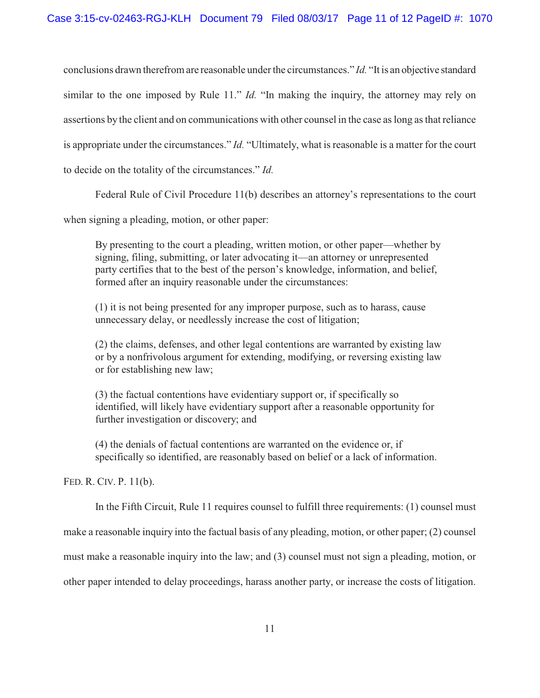conclusions drawn therefrom are reasonable under the circumstances." *Id.* "It is an objective standard similar to the one imposed by Rule 11." *Id.* "In making the inquiry, the attorney may rely on assertions by the client and on communications with other counsel in the case as long as that reliance is appropriate under the circumstances." *Id.* "Ultimately, what is reasonable is a matter for the court to decide on the totality of the circumstances." *Id.* 

Federal Rule of Civil Procedure 11(b) describes an attorney's representations to the court

when signing a pleading, motion, or other paper:

By presenting to the court a pleading, written motion, or other paper—whether by signing, filing, submitting, or later advocating it—an attorney or unrepresented party certifies that to the best of the person's knowledge, information, and belief, formed after an inquiry reasonable under the circumstances:

(1) it is not being presented for any improper purpose, such as to harass, cause unnecessary delay, or needlessly increase the cost of litigation;

(2) the claims, defenses, and other legal contentions are warranted by existing law or by a nonfrivolous argument for extending, modifying, or reversing existing law or for establishing new law;

(3) the factual contentions have evidentiary support or, if specifically so identified, will likely have evidentiary support after a reasonable opportunity for further investigation or discovery; and

(4) the denials of factual contentions are warranted on the evidence or, if specifically so identified, are reasonably based on belief or a lack of information.

FED. R. CIV. P. 11(b).

In the Fifth Circuit, Rule 11 requires counsel to fulfill three requirements: (1) counsel must

make a reasonable inquiry into the factual basis of any pleading, motion, or other paper; (2) counsel

must make a reasonable inquiry into the law; and (3) counsel must not sign a pleading, motion, or

other paper intended to delay proceedings, harass another party, or increase the costs of litigation.